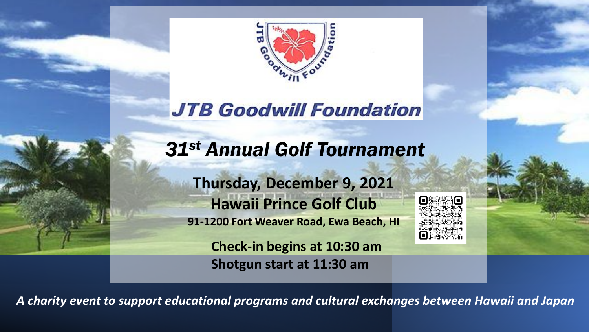

# **JTB Goodwill Foundation**

# *31st Annual Golf Tournament*

**Thursday, December 9, 2021 Hawaii Prince Golf Club 91-1200 Fort Weaver Road, Ewa Beach, HI**



**Check-in begins at 10:30 am Shotgun start at 11:30 am**

*A charity event to support educational programs and cultural exchanges between Hawaii and Japan*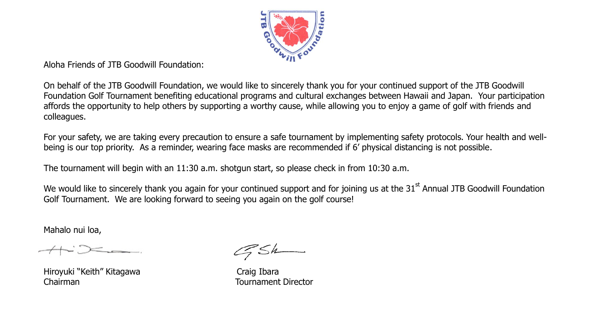

Aloha Friends of JTB Goodwill Foundation:

On behalf of the JTB Goodwill Foundation, we would like to sincerely thank you for your continued support of the JTB Goodwill Foundation Golf Tournament benefiting educational programs and cultural exchanges between Hawaii and Japan. Your participation affords the opportunity to help others by supporting a worthy cause, while allowing you to enjoy a game of golf with friends and colleagues.

For your safety, we are taking every precaution to ensure a safe tournament by implementing safety protocols. Your health and wellbeing is our top priority. As a reminder, wearing face masks are recommended if 6' physical distancing is not possible.

The tournament will begin with an 11:30 a.m. shotgun start, so please check in from 10:30 a.m.

We would like to sincerely thank you again for your continued support and for joining us at the 31<sup>st</sup> Annual JTB Goodwill Foundation Golf Tournament. We are looking forward to seeing you again on the golf course!

Mahalo nui loa,

Hiroyuki "Keith" Kitagawa **Craig Ibara** Chairman Tournament Director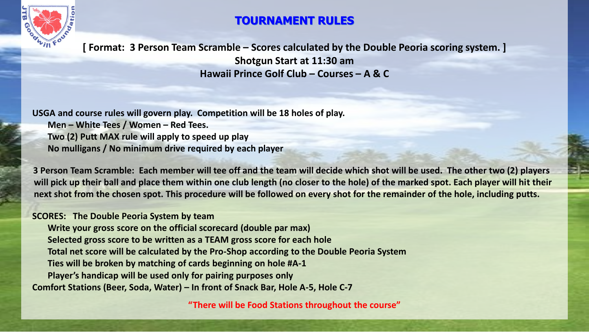

### **TOURNAMENT RULES**

**[ Format: 3 Person Team Scramble – Scores calculated by the Double Peoria scoring system. ] Shotgun Start at 11:30 am Hawaii Prince Golf Club – Courses – A & C**

**USGA and course rules will govern play. Competition will be 18 holes of play. Men – White Tees / Women – Red Tees. Two (2) Putt MAX rule will apply to speed up play No mulligans / No minimum drive required by each player**

**3 Person Team Scramble: Each member will tee off and the team will decide which shot will be used. The other two (2) players will pick up their ball and place them within one club length (no closer to the hole) of the marked spot. Each player will hit their next shot from the chosen spot. This procedure will be followed on every shot for the remainder of the hole, including putts.**

#### **SCORES: The Double Peoria System by team**

**Write your gross score on the official scorecard (double par max) Selected gross score to be written as a TEAM gross score for each hole Total net score will be calculated by the Pro-Shop according to the Double Peoria System Ties will be broken by matching of cards beginning on hole #A-1 Player's handicap will be used only for pairing purposes only Comfort Stations (Beer, Soda, Water) – In front of Snack Bar, Hole A-5, Hole C-7**

**"There will be Food Stations throughout the course"**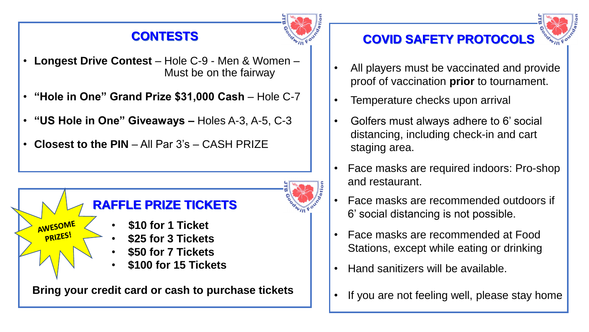### **CONTESTS**



- **Longest Drive Contest** Hole C-9 Men & Women Must be on the fairway
- **"Hole in One" Grand Prize \$31,000 Cash**  Hole C-7
- **"US Hole in One" Giveaways –** Holes A-3, A-5, C-3
- **Closest to the PIN** All Par 3's CASH PRIZE





- All players must be vaccinated and provide proof of vaccination **prior** to tournament.
- Temperature checks upon arrival
- Golfers must always adhere to 6' social distancing, including check-in and cart staging area.
- Face masks are required indoors: Pro-shop and restaurant.
- Face masks are recommended outdoors if 6' social distancing is not possible.
- Face masks are recommended at Food Stations, except while eating or drinking
- Hand sanitizers will be available.
- If you are not feeling well, please stay home

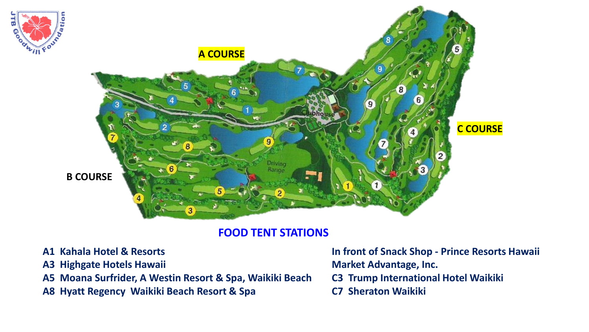

#### **FOOD TENT STATIONS**

- **A1 Kahala Hotel & Resorts**
- **A3 Highgate Hotels Hawaii**
- **A5 Moana Surfrider, A Westin Resort & Spa, Waikiki Beach**
- **A8 Hyatt Regency Waikiki Beach Resort & Spa**

**In front of Snack Shop - Prince Resorts Hawaii Market Advantage, Inc. C3 Trump International Hotel Waikiki C7 Sheraton Waikiki**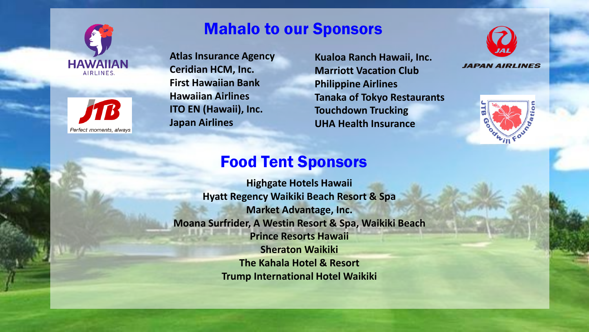



## Mahalo to our Sponsors

**Atlas Insurance Agency Ceridian HCM, Inc. First Hawaiian Bank Hawaiian Airlines ITO EN (Hawaii), Inc. Japan Airlines**

**Kualoa Ranch Hawaii, Inc. Marriott Vacation Club Philippine Airlines Tanaka of Tokyo Restaurants Touchdown Trucking UHA Health Insurance**



**JAPAN AIRLINES** 



## Food Tent Sponsors

**Highgate Hotels Hawaii Hyatt Regency Waikiki Beach Resort & Spa Market Advantage, Inc. Moana Surfrider, A Westin Resort & Spa, Waikiki Beach Prince Resorts Hawaii Sheraton Waikiki The Kahala Hotel & Resort Trump International Hotel Waikiki**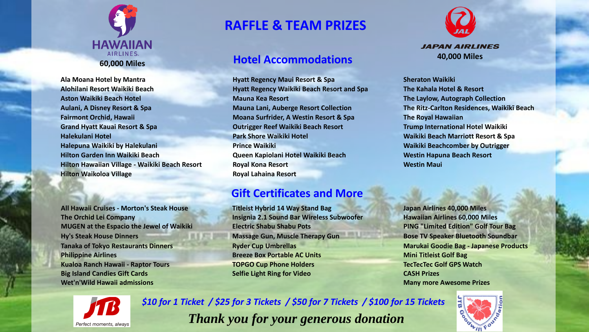

**Alohilani Resort Waikiki Beach Hyatt Regency Waikiki Beach Resort and Spa The Kahala Hotel & Resort Aston Waikiki Beach Hotel Mauna Kea Resort The Laylow, Autograph Collection Aulani, A Disney Resort & Spa Mauna Lani, Auberge Resort Collection The Ritz-Carlton Residences, Waikīkī Beach Fairmont Orchid, Hawaii Moana Surfrider, A Westin Resort & Spa The Royal Hawaiian Grand Hyatt Kauai Resort & Spa Outrigger Reef Waikiki Beach Resort Trump International Hotel Waikiki Halekulani Hotel Park Shore Waikiki Hotel Waikiki Beach Marriott Resort & Spa Halepuna Waikiki by Halekulani Prince Waikiki Waikiki Beachcomber by Outrigger Hilton Garden Inn Waikiki Beach Queen Kapiolani Hotel Waikiki Beach Westin Hapuna Beach Resort Hilton Hawaiian Village - Waikiki Beach Resort Royal Kona Resort Westin Maui Hilton Waikoloa Village Royal Lahaina Resort**

**The Orchid Lei Company Insignia 2.1 Sound Bar Wireless Subwoofer Hawaiian Airlines 60,000 Miles MUGEN at the Espacio the Jewel of Waikiki Electric Shabu Shabu Pots PING "Limited Edition" Golf Tour Bag Hy's Steak House Dinners Massage Gun, Muscle Therapy Gun Bose TV Speaker Bluetooth Soundbar Tanaka of Tokyo Restaurants Dinners Marukai Ryder Cup Umbrellas Marukai Marukai Goodie Bag - Japanese Products Philippine Airlines Breeze Box Portable AC Units Breeze Box Portable AC Units Mini Titleist Golf Bag Mini** Titleist Golf Bag *Breeze Box Portable AC Units* **Kualoa Ranch Hawaii - Raptor Tours TOPGO Cup Phone Holders TecTecTec Golf GPS Watch Big Island Candies Gift Cards Selfie Light Ring for Video CASH Prizes Wet'n'Wild Hawaii admissions Many more Awesome Prizes**

### **RAFFLE & TEAM PRIZES**

#### **Hotel Accommodations**

**Ala Moana Hotel by Mantra Hyatt Regency Maui Resort & Spa Sheraton Waikiki**

#### **Gift Certificates and More**

**All Hawaii Cruises - Morton's Steak House Titleist Hybrid 14 Way Stand Bag Japan Airlines 40,000 Miles**





*\$10 for 1 Ticket / \$25 for 3 Tickets / \$50 for 7 Tickets / \$100 for 15 Tickets Thank you for your generous donation*